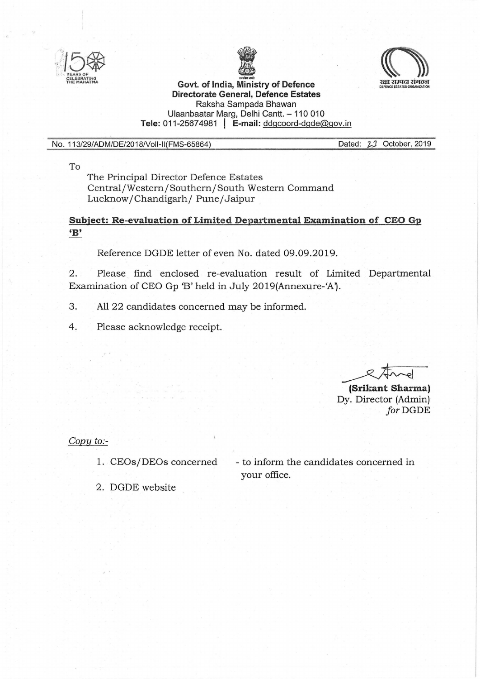





## **Directorate General, Defence Estates**  Raksha Sampada Bhawan Ulaanbaatar Marg, Delhi Cantt. - 110 010 **Tele:** 011-2567 4981 I **E-mail:** ddgcoord-dgde@gov.in

## No. 113/29/ADM/DE/2018Noii-II(FMS-65864)

Dated: 21 October, 2019

To

The Principal Director Defence Estates Central/Western/Southern/South Western Command Lucknow/Chandigarh/ Pune/Jaipur

## **Subject: Re-evaluation of Limited Departmental Examination of CEO Gp 'B'**

Reference DGDE letter of even No. dated 09.09.2019.

2. Please find enclosed re-evaluation result of Limited Departmental Examination of CEO Gp 'B' held in July 2019(Annexure-'A').

- 3. All 22 candidates concerned may be informed.
- 4. Please acknowledge receipt.

**Example 18**<br>**(Srikant Sharma)**<br>Py Director (Admin)

Dy. Director (Admin) for DGDE

*Copy to:-*

1. CEOs/DEOs concerned

- to inform the candidates concerned in your office.

2. DGDE website